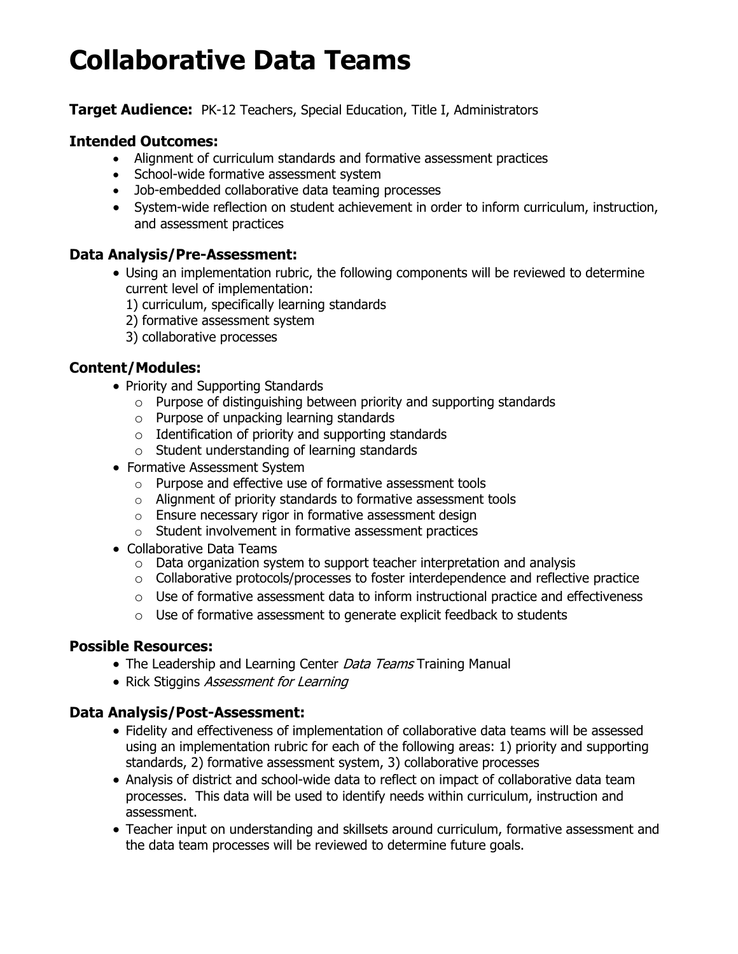# **Collaborative Data Teams**

#### **Target Audience:** PK-12 Teachers, Special Education, Title I, Administrators

#### **Intended Outcomes:**

- Alignment of curriculum standards and formative assessment practices
- School-wide formative assessment system
- Job-embedded collaborative data teaming processes
- System-wide reflection on student achievement in order to inform curriculum, instruction, and assessment practices

## **Data Analysis/Pre-Assessment:**

- Using an implementation rubric, the following components will be reviewed to determine current level of implementation:
	- 1) curriculum, specifically learning standards
	- 2) formative assessment system
	- 3) collaborative processes

# **Content/Modules:**

- Priority and Supporting Standards
	- $\circ$  Purpose of distinguishing between priority and supporting standards
	- o Purpose of unpacking learning standards
	- $\circ$  Identification of priority and supporting standards
	- o Student understanding of learning standards
- Formative Assessment System
	- o Purpose and effective use of formative assessment tools
	- o Alignment of priority standards to formative assessment tools
	- o Ensure necessary rigor in formative assessment design
	- o Student involvement in formative assessment practices
- Collaborative Data Teams
	- o Data organization system to support teacher interpretation and analysis
	- $\circ$  Collaborative protocols/processes to foster interdependence and reflective practice
	- $\circ$  Use of formative assessment data to inform instructional practice and effectiveness
	- o Use of formative assessment to generate explicit feedback to students

## **Possible Resources:**

- The Leadership and Learning Center Data Teams Training Manual
- Rick Stiggins Assessment for Learning

## **Data Analysis/Post-Assessment:**

- Fidelity and effectiveness of implementation of collaborative data teams will be assessed using an implementation rubric for each of the following areas: 1) priority and supporting standards, 2) formative assessment system, 3) collaborative processes
- Analysis of district and school-wide data to reflect on impact of collaborative data team processes. This data will be used to identify needs within curriculum, instruction and assessment.
- Teacher input on understanding and skillsets around curriculum, formative assessment and the data team processes will be reviewed to determine future goals.